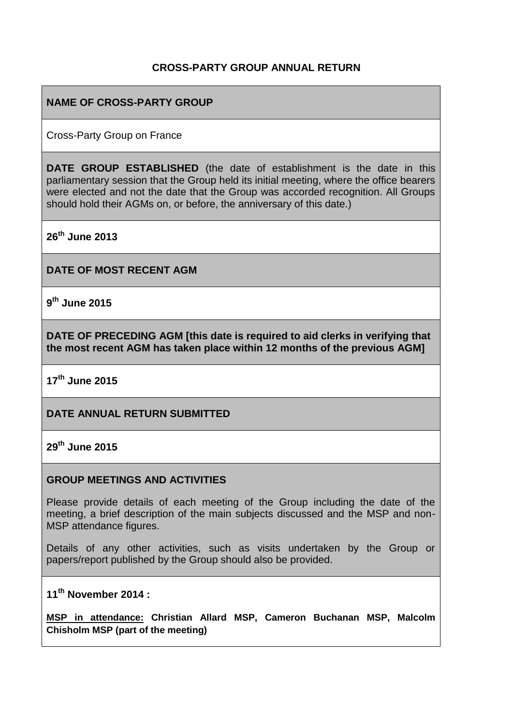### **CROSS-PARTY GROUP ANNUAL RETURN**

### **NAME OF CROSS-PARTY GROUP**

Cross-Party Group on France

**DATE GROUP ESTABLISHED** (the date of establishment is the date in this parliamentary session that the Group held its initial meeting, where the office bearers were elected and not the date that the Group was accorded recognition. All Groups should hold their AGMs on, or before, the anniversary of this date.)

**26th June 2013**

**DATE OF MOST RECENT AGM**

**9 th June 2015**

**DATE OF PRECEDING AGM [this date is required to aid clerks in verifying that the most recent AGM has taken place within 12 months of the previous AGM]**

**17th June 2015**

**DATE ANNUAL RETURN SUBMITTED**

**29th June 2015**

#### **GROUP MEETINGS AND ACTIVITIES**

Please provide details of each meeting of the Group including the date of the meeting, a brief description of the main subjects discussed and the MSP and non-MSP attendance figures.

Details of any other activities, such as visits undertaken by the Group or papers/report published by the Group should also be provided.

**11th November 2014 :** 

**MSP in attendance: Christian Allard MSP, Cameron Buchanan MSP, Malcolm Chisholm MSP (part of the meeting)**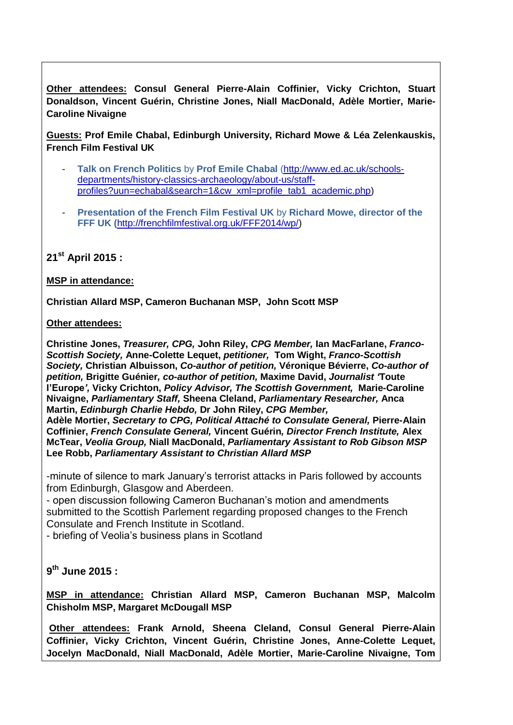**Other attendees: Consul General Pierre-Alain Coffinier, Vicky Crichton, Stuart Donaldson, Vincent Guérin, Christine Jones, Niall MacDonald, Adèle Mortier, Marie-Caroline Nivaigne**

**Guests: Prof Emile Chabal, Edinburgh University, Richard Mowe & Léa Zelenkauskis, French Film Festival UK**

- **Talk on French Politics** by **Prof Emile Chabal** [\(http://www.ed.ac.uk/schools](http://www.ed.ac.uk/schools-departments/history-classics-archaeology/about-us/staff-profiles?uun=echabal&search=1&cw_xml=profile_tab1_academic.php)[departments/history-classics-archaeology/about-us/staff](http://www.ed.ac.uk/schools-departments/history-classics-archaeology/about-us/staff-profiles?uun=echabal&search=1&cw_xml=profile_tab1_academic.php)[profiles?uun=echabal&search=1&cw\\_xml=profile\\_tab1\\_academic.php\)](http://www.ed.ac.uk/schools-departments/history-classics-archaeology/about-us/staff-profiles?uun=echabal&search=1&cw_xml=profile_tab1_academic.php)
- **Presentation of the French Film Festival UK** by **Richard Mowe, director of the FFF UK (**[http://frenchfilmfestival.org.uk/FFF2014/wp/\)](http://frenchfilmfestival.org.uk/FFF2014/wp/)

**21st April 2015 :**

#### **MSP in attendance:**

**Christian Allard MSP, Cameron Buchanan MSP, John Scott MSP**

#### **Other attendees:**

**Christine Jones,** *Treasurer, CPG,* **John Riley,** *CPG Member,* **Ian MacFarlane,** *Franco-Scottish Society,* **Anne-Colette Lequet,** *petitioner,* **Tom Wight,** *Franco-Scottish Society,* **Christian Albuisson,** *Co-author of petition,* **Véronique Bévierre,** *Co-author of petition,* **Brigitte Guénier***, co-author of petition,* **Maxime David,** *Journalist '***Toute l'Europe***',* **Vicky Crichton,** *Policy Advisor, The Scottish Government,* **Marie-Caroline Nivaigne,** *Parliamentary Staff,* **Sheena Cleland,** *Parliamentary Researcher,* **Anca Martin,** *Edinburgh Charlie Hebdo,* **Dr John Riley,** *CPG Member,*

**Adèle Mortier,** *Secretary to CPG, Political Attaché to Consulate General,* **Pierre-Alain Coffinier,** *French Consulate General,* **Vincent Guérin***, Director French Institute,* **Alex McTear,** *Veolia Group,* **Niall MacDonald,** *Parliamentary Assistant to Rob Gibson MSP* **Lee Robb,** *Parliamentary Assistant to Christian Allard MSP*

-minute of silence to mark January's terrorist attacks in Paris followed by accounts from Edinburgh, Glasgow and Aberdeen.

- open discussion following Cameron Buchanan's motion and amendments submitted to the Scottish Parlement regarding proposed changes to the French Consulate and French Institute in Scotland.

- briefing of Veolia's business plans in Scotland

#### **9 th June 2015 :**

**MSP in attendance: Christian Allard MSP, Cameron Buchanan MSP, Malcolm Chisholm MSP, Margaret McDougall MSP**

**Other attendees: Frank Arnold, Sheena Cleland, Consul General Pierre-Alain Coffinier, Vicky Crichton, Vincent Guérin, Christine Jones, Anne-Colette Lequet, Jocelyn MacDonald, Niall MacDonald, Adèle Mortier, Marie-Caroline Nivaigne, Tom**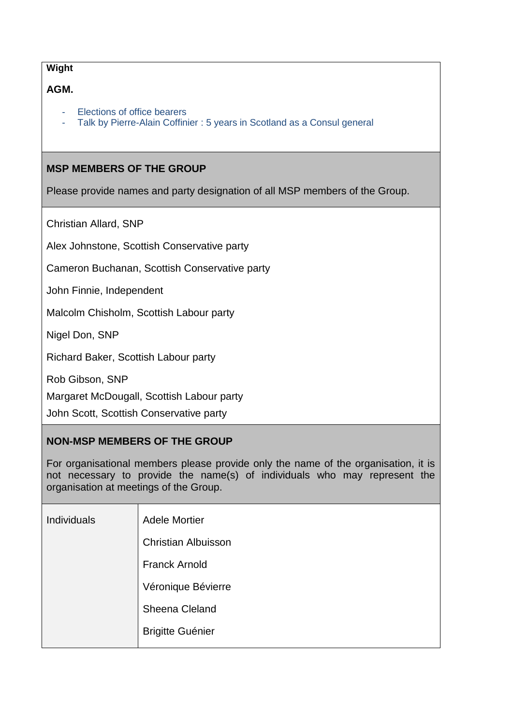#### **Wight**

# **AGM.**

- Elections of office bearers
- Talk by Pierre-Alain Coffinier : 5 years in Scotland as a Consul general

## **MSP MEMBERS OF THE GROUP**

Please provide names and party designation of all MSP members of the Group.

Christian Allard, SNP

Alex Johnstone, Scottish Conservative party

Cameron Buchanan, Scottish Conservative party

John Finnie, Independent

Malcolm Chisholm, Scottish Labour party

Nigel Don, SNP

Richard Baker, Scottish Labour party

Rob Gibson, SNP

Margaret McDougall, Scottish Labour party

John Scott, Scottish Conservative party

### **NON-MSP MEMBERS OF THE GROUP**

For organisational members please provide only the name of the organisation, it is not necessary to provide the name(s) of individuals who may represent the organisation at meetings of the Group.

| <b>Individuals</b> | <b>Adele Mortier</b>       |
|--------------------|----------------------------|
|                    | <b>Christian Albuisson</b> |
|                    | <b>Franck Arnold</b>       |
|                    | Véronique Bévierre         |
|                    | Sheena Cleland             |
|                    | <b>Brigitte Guénier</b>    |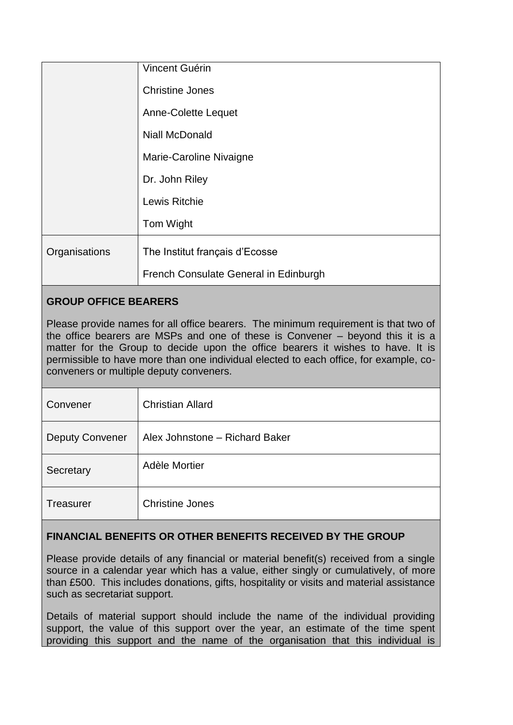|               | Vincent Guérin                        |
|---------------|---------------------------------------|
|               | <b>Christine Jones</b>                |
|               | Anne-Colette Lequet                   |
|               | <b>Niall McDonald</b>                 |
|               | Marie-Caroline Nivaigne               |
|               | Dr. John Riley                        |
|               | Lewis Ritchie                         |
|               | Tom Wight                             |
| Organisations | The Institut français d'Ecosse        |
|               | French Consulate General in Edinburgh |

# **GROUP OFFICE BEARERS**

Please provide names for all office bearers. The minimum requirement is that two of the office bearers are MSPs and one of these is Convener – beyond this it is a matter for the Group to decide upon the office bearers it wishes to have. It is permissible to have more than one individual elected to each office, for example, coconveners or multiple deputy conveners.

| Convener               | <b>Christian Allard</b>        |
|------------------------|--------------------------------|
| <b>Deputy Convener</b> | Alex Johnstone - Richard Baker |
| Secretary              | Adèle Mortier                  |
| <b>Treasurer</b>       | <b>Christine Jones</b>         |

# **FINANCIAL BENEFITS OR OTHER BENEFITS RECEIVED BY THE GROUP**

Please provide details of any financial or material benefit(s) received from a single source in a calendar year which has a value, either singly or cumulatively, of more than £500. This includes donations, gifts, hospitality or visits and material assistance such as secretariat support.

Details of material support should include the name of the individual providing support, the value of this support over the year, an estimate of the time spent providing this support and the name of the organisation that this individual is